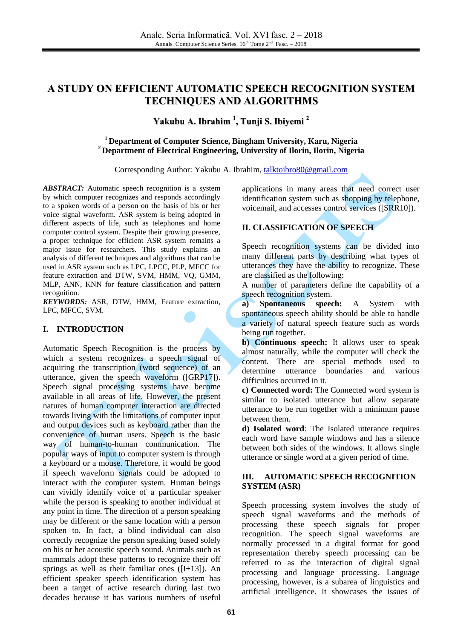# **A STUDY ON EFFICIENT AUTOMATIC SPEECH RECOGNITION SYSTEM TECHNIQUES AND ALGORITHMS**

# **Yakubu A. Ibrahim 1 , Tunji S. Ibiyemi 2**

#### **<sup>1</sup> Department of Computer Science, Bingham University, Karu, Nigeria <sup>2</sup> Department of Electrical Engineering, University of Ilorin, Ilorin, Nigeria**

Corresponding Author: Yakubu A. Ibrahim, [talktoibro80@gmail.com](mailto:talktoibro80@gmail.com)

*ABSTRACT:* Automatic speech recognition is a system by which computer recognizes and responds accordingly to a spoken words of a person on the basis of his or her voice signal waveform. ASR system is being adopted in different aspects of life, such as telephones and home computer control system. Despite their growing presence, a proper technique for efficient ASR system remains a major issue for researchers. This study explains an analysis of different techniques and algorithms that can be used in ASR system such as LPC, LPCC, PLP, MFCC for feature extraction and DTW, SVM, HMM, VQ, GMM, MLP, ANN, KNN for feature classification and pattern recognition.

*KEYWORDS:* ASR, DTW, HMM, Feature extraction, LPC, MFCC, SVM.

#### **I. INTRODUCTION**

Automatic Speech Recognition is the process by which a system recognizes a speech signal of acquiring the transcription (word sequence) of an utterance, given the speech waveform ([GRP17]). Speech signal processing systems have become available in all areas of life. However, the present natures of human computer interaction are directed towards living with the limitations of computer input and output devices such as keyboard rather than the convenience of human users. Speech is the basic way of human-to-human communication. The popular ways of input to computer system is through a keyboard or a mouse. Therefore, it would be good if speech waveform signals could be adopted to interact with the computer system. Human beings can vividly identify voice of a particular speaker while the person is speaking to another individual at any point in time. The direction of a person speaking may be different or the same location with a person spoken to. In fact, a blind individual can also correctly recognize the person speaking based solely on his or her acoustic speech sound. Animals such as mammals adopt these patterns to recognize their off springs as well as their familiar ones ([I+13]). An efficient speaker speech identification system has been a target of active research during last two decades because it has various numbers of useful

applications in many areas that need correct user identification system such as shopping by telephone, voicemail, and accesses control services ([SRR10]).

# **II. CLASSIFICATION OF SPEECH**

Speech recognition systems can be divided into many different parts by describing what types of utterances they have the ability to recognize. These are classified as the following:

A number of parameters define the capability of a speech recognition system.

**a) Spontaneous speech:** A System with spontaneous speech ability should be able to handle a variety of natural speech feature such as words being run together.

**b) Continuous speech:** It allows user to speak almost naturally, while the computer will check the content. There are special methods used to determine utterance boundaries and various difficulties occurred in it.

**c) Connected word:** The Connected word system is similar to isolated utterance but allow separate utterance to be run together with a minimum pause between them.

**d) Isolated word**: The Isolated utterance requires each word have sample windows and has a silence between both sides of the windows. It allows single utterance or single word at a given period of time.

#### **III. AUTOMATIC SPEECH RECOGNITION SYSTEM (ASR)**

Speech processing system involves the study of speech signal waveforms and the methods of processing these speech signals for proper recognition. The speech signal waveforms are normally processed in a digital format for good representation thereby speech processing can be referred to as the interaction of digital signal processing and language processing. Language processing, however, is a subarea of linguistics and artificial intelligence. It showcases the issues of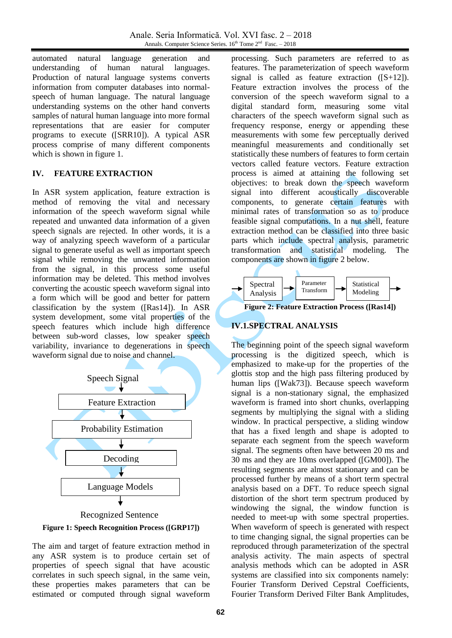automated natural language generation and understanding of human natural languages. Production of natural language systems converts information from computer databases into normalspeech of human language. The natural language understanding systems on the other hand converts samples of natural human language into more formal representations that are easier for computer programs to execute ([SRR10]). A typical ASR process comprise of many different components which is shown in figure 1.

# **IV. FEATURE EXTRACTION**

In ASR system application, feature extraction is method of removing the vital and necessary information of the speech waveform signal while repeated and unwanted data information of a given speech signals are rejected. In other words, it is a way of analyzing speech waveform of a particular signal to generate useful as well as important speech signal while removing the unwanted information from the signal, in this process some useful information may be deleted. This method involves converting the acoustic speech waveform signal into a form which will be good and better for pattern classification by the system ([Ras14]). In ASR system development, some vital properties of the speech features which include high difference between sub-word classes, low speaker speech variability, invariance to degenerations in speech waveform signal due to noise and channel.





The aim and target of feature extraction method in any ASR system is to produce certain set of properties of speech signal that have acoustic correlates in such speech signal, in the same vein, these properties makes parameters that can be estimated or computed through signal waveform

processing. Such parameters are referred to as features. The parameterization of speech waveform signal is called as feature extraction ([S+12]). Feature extraction involves the process of the conversion of the speech waveform signal to a digital standard form, measuring some vital characters of the speech waveform signal such as frequency response, energy or appending these measurements with some few perceptually derived meaningful measurements and conditionally set statistically these numbers of features to form certain vectors called feature vectors. Feature extraction process is aimed at attaining the following set objectives: to break down the speech waveform signal into different acoustically discoverable components, to generate certain features with minimal rates of transformation so as to produce feasible signal computations. In a nut shell, feature extraction method can be classified into three basic parts which include spectral analysis, parametric transformation and statistical modeling. The components are shown in figure 2 below.



**Figure 2: Feature Extraction Process ([Ras14])**

# **IV.1.SPECTRAL ANALYSIS**

The beginning point of the speech signal waveform processing is the digitized speech, which is emphasized to make-up for the properties of the glottis stop and the high pass filtering produced by human lips ([Wak73]). Because speech waveform signal is a non-stationary signal, the emphasized waveform is framed into short chunks, overlapping segments by multiplying the signal with a sliding window. In practical perspective, a sliding window that has a fixed length and shape is adopted to separate each segment from the speech waveform signal. The segments often have between 20 ms and 30 ms and they are 10ms overlapped ([GM00]). The resulting segments are almost stationary and can be processed further by means of a short term spectral analysis based on a DFT. To reduce speech signal distortion of the short term spectrum produced by windowing the signal, the window function is needed to meet-up with some spectral properties. When waveform of speech is generated with respect to time changing signal, the signal properties can be reproduced through parameterization of the spectral analysis activity. The main aspects of spectral analysis methods which can be adopted in ASR systems are classified into six components namely: Fourier Transform Derived Cepstral Coefficients, Fourier Transform Derived Filter Bank Amplitudes,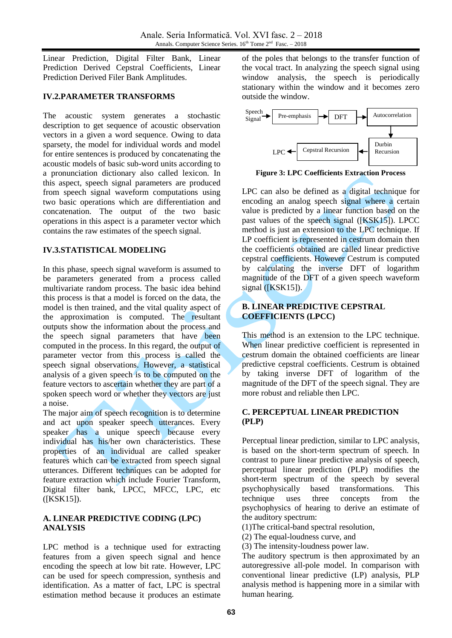Linear Prediction, Digital Filter Bank, Linear Prediction Derived Cepstral Coefficients, Linear Prediction Derived Filer Bank Amplitudes.

### **IV.2.PARAMETER TRANSFORMS**

The acoustic system generates a stochastic description to get sequence of acoustic observation vectors in a given a word sequence. Owing to data sparsety, the model for individual words and model for entire sentences is produced by concatenating the acoustic models of basic sub-word units according to a pronunciation dictionary also called lexicon. In this aspect, speech signal parameters are produced from speech signal waveform computations using two basic operations which are differentiation and concatenation. The output of the two basic operations in this aspect is a parameter vector which contains the raw estimates of the speech signal.

#### **IV.3.STATISTICAL MODELING**

In this phase, speech signal waveform is assumed to be parameters generated from a process called multivariate random process. The basic idea behind this process is that a model is forced on the data, the model is then trained, and the vital quality aspect of the approximation is computed. The resultant outputs show the information about the process and the speech signal parameters that have been computed in the process. In this regard, the output of parameter vector from this process is called the speech signal observations. However, a statistical analysis of a given speech is to be computed on the feature vectors to ascertain whether they are part of a spoken speech word or whether they vectors are just a noise.

The major aim of speech recognition is to determine and act upon speaker speech utterances. Every speaker has a unique speech because every individual has his/her own characteristics. These properties of an individual are called speaker features which can be extracted from speech signal utterances. Different techniques can be adopted for feature extraction which include Fourier Transform, Digital filter bank, LPCC, MFCC, LPC, etc ([KSK15]).

# **A. LINEAR PREDICTIVE CODING (LPC) ANALYSIS**

LPC method is a technique used for extracting features from a given speech signal and hence encoding the speech at low bit rate. However, LPC can be used for speech compression, synthesis and identification. As a matter of fact, LPC is spectral estimation method because it produces an estimate

of the poles that belongs to the transfer function of the vocal tract. In analyzing the speech signal using window analysis, the speech is periodically stationary within the window and it becomes zero outside the window.



**Figure 3: LPC Coefficients Extraction Process**

LPC can also be defined as a digital technique for encoding an analog speech signal where a certain value is predicted by a linear function based on the past values of the speech signal ([KSK15]). LPCC method is just an extension to the LPC technique. If LP coefficient is represented in cestrum domain then the coefficients obtained are called linear predictive cepstral coefficients. However Cestrum is computed by calculating the inverse DFT of logarithm magnitude of the DFT of a given speech waveform signal  $([KSK15])$ .

# **B. LINEAR PREDICTIVE CEPSTRAL COEFFICIENTS (LPCC)**

This method is an extension to the LPC technique. When linear predictive coefficient is represented in cestrum domain the obtained coefficients are linear predictive cepstral coefficients. Cestrum is obtained by taking inverse DFT of logarithm of the magnitude of the DFT of the speech signal. They are more robust and reliable then LPC.

# **C. PERCEPTUAL LINEAR PREDICTION (PLP)**

Perceptual linear prediction, similar to LPC analysis, is based on the short-term spectrum of speech. In contrast to pure linear predictive analysis of speech, perceptual linear prediction (PLP) modifies the short-term spectrum of the speech by several psychophysically based transformations. This technique uses three concepts from the psychophysics of hearing to derive an estimate of the auditory spectrum:

- (1)The critical-band spectral resolution,
- (2) The equal-loudness curve, and
- (3) The intensity-loudness power law.

The auditory spectrum is then approximated by an autoregressive all-pole model. In comparison with conventional linear predictive (LP) analysis, PLP analysis method is happening more in a similar with human hearing.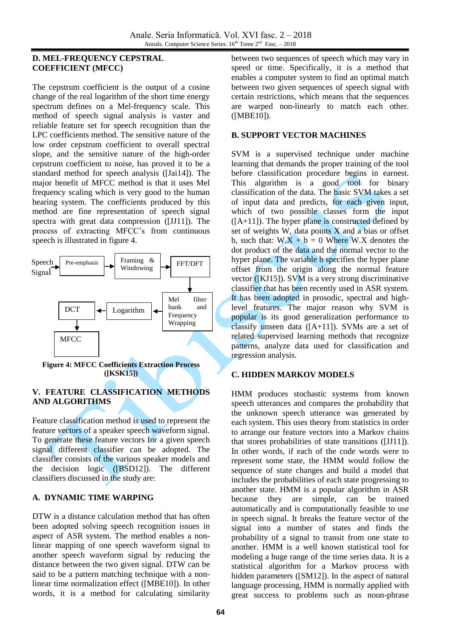# **D. MEL-FREQUENCY CEPSTRAL COEFFICIENT (MFCC)**

The cepstrum coefficient is the output of a cosine change of the real logarithm of the short time energy spectrum defines on a Mel-frequency scale. This method of speech signal analysis is vaster and reliable feature set for speech recognition than the LPC coefficients method. The sensitive nature of the low order cepstrum coefficient to overall spectral slope, and the sensitive nature of the high-order cepstrum coefficient to noise, has proved it to be a standard method for speech analysis ([Jai14]). The major benefit of MFCC method is that it uses Mel frequency scaling which is very good to the human hearing system. The coefficients produced by this method are fine representation of speech signal spectra with great data compression ([JJ11]). The process of extracting MFCC's from continuous speech is illustrated in figure 4.



**Figure 4: MFCC Coefficients Extraction Process ([KSK15])**

# **V. FEATURE CLASSIFICATION METHODS AND ALGORITHMS**

Feature classification method is used to represent the feature vectors of a speaker speech waveform signal. To generate these feature vectors for a given speech signal different classifier can be adopted. The classifier consists of the various speaker models and the decision logic ([BSD12]). The different classifiers discussed in the study are:

# **A. DYNAMIC TIME WARPING**

DTW is a distance calculation method that has often been adopted solving speech recognition issues in aspect of ASR system. The method enables a nonlinear mapping of one speech waveform signal to another speech waveform signal by reducing the distance between the two given signal. DTW can be said to be a pattern matching technique with a nonlinear time normalization effect ([MBE10]). In other words, it is a method for calculating similarity

between two sequences of speech which may vary in speed or time. Specifically, it is a method that enables a computer system to find an optimal match between two given sequences of speech signal with certain restrictions, which means that the sequences are warped non-linearly to match each other. ([MBE10]).

#### **B. SUPPORT VECTOR MACHINES**

SVM is a supervised technique under machine learning that demands the proper training of the tool before classification procedure begins in earnest. This algorithm is a good tool for binary classification of the data. The basic SVM takes a set of input data and predicts, for each given input, which of two possible classes form the input  $([A+11])$ . The hyper plane is constructed defined by set of weights W, data points X and a bias or offset b, such that:  $W.X + b = 0$  Where W.X denotes the dot product of the data and the normal vector to the hyper plane. The variable b specifies the hyper plane offset from the origin along the normal feature vector ([KJ15]). SVM is a very strong discriminative classifier that has been recently used in ASR system. It has been adopted in prosodic, spectral and highlevel features. The major reason why SVM is popular is its good generalization performance to classify unseen data ([A+11]). SVMs are a set of related supervised learning methods that recognize patterns, analyze data used for classification and regression analysis.

# **C. HIDDEN MARKOV MODELS**

HMM produces stochastic systems from known speech utterances and compares the probability that the unknown speech utterance was generated by each system. This uses theory from statistics in order to arrange our feature vectors into a Markov chains that stores probabilities of state transitions ([JJ11]). In other words, if each of the code words were to represent some state, the HMM would follow the sequence of state changes and build a model that includes the probabilities of each state progressing to another state. HMM is a popular algorithm in ASR because they are simple, can be trained automatically and is computationally feasible to use in speech signal. It breaks the feature vector of the signal into a number of states and finds the probability of a signal to transit from one state to another. HMM is a well known statistical tool for modeling a huge range of the time series data. It is a statistical algorithm for a Markov process with hidden parameters ([SM12]). In the aspect of natural language processing, HMM is normally applied with great success to problems such as noun-phrase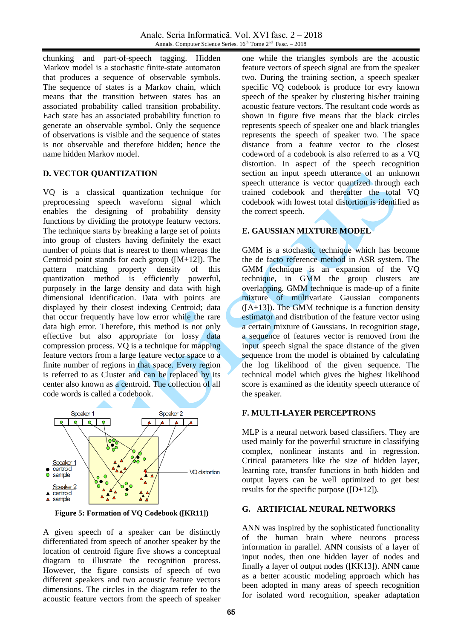chunking and part-of-speech tagging. Hidden Markov model is a stochastic finite-state automaton that produces a sequence of observable symbols. The sequence of states is a Markov chain, which means that the transition between states has an associated probability called transition probability. Each state has an associated probability function to generate an observable symbol. Only the sequence of observations is visible and the sequence of states is not observable and therefore hidden; hence the name hidden Markov model.

# **D. VECTOR QUANTIZATION**

VQ is a classical quantization technique for preprocessing speech waveform signal which enables the designing of probability density functions by dividing the prototype featurw vectors. The technique starts by breaking a large set of points into group of clusters having definitely the exact number of points that is nearest to them whereas the Centroid point stands for each group  $([M+12])$ . The pattern matching property density of this pattern matching property density of this quantization method is efficiently powerful, purposely in the large density and data with high dimensional identification. Data with points are displayed by their closest indexing Centroid; data that occur frequently have low error while the rare data high error. Therefore, this method is not only effective but also appropriate for lossy data compression process. VQ is a technique for mapping feature vectors from a large feature vector space to a finite number of regions in that space. Every region is referred to as Cluster and can be replaced by its center also known as a centroid. The collection of all code words is called a codebook.



**Figure 5: Formation of VQ Codebook ([KR11])**

A given speech of a speaker can be distinctly differentiated from speech of another speaker by the location of centroid figure five shows a conceptual diagram to illustrate the recognition process. However, the figure consists of speech of two different speakers and two acoustic feature vectors dimensions. The circles in the diagram refer to the acoustic feature vectors from the speech of speaker

one while the triangles symbols are the acoustic feature vectors of speech signal are from the speaker two. During the training section, a speech speaker specific VQ codebook is produce for evry known speech of the speaker by clustering his/her training acoustic feature vectors. The resultant code words as shown in figure five means that the black circles represents speech of speaker one and black triangles represents the speech of speaker two. The space distance from a feature vector to the closest codeword of a codebook is also referred to as a VQ distortion. In aspect of the speech recognition section an input speech utterance of an unknown speech utterance is vector quantized through each trained codebook and thereafter the total VQ codebook with lowest total distortion is identified as the correct speech.

# **E. GAUSSIAN MIXTURE MODEL**

GMM is a stochastic technique which has become the de facto reference method in ASR system. The GMM technique is an expansion of the VQ technique, in GMM the group clusters are overlapping. GMM technique is made-up of a finite mixture of multivariate Gaussian components  $([A+13])$ . The GMM technique is a function density estimator and distribution of the feature vector using a certain mixture of Gaussians. In recognition stage, a sequence of features vector is removed from the input speech signal the space distance of the given sequence from the model is obtained by calculating the log likelihood of the given sequence. The technical model which gives the highest likelihood score is examined as the identity speech utterance of the speaker.

#### **F. MULTI-LAYER PERCEPTRONS**

MLP is a neural network based classifiers. They are used mainly for the powerful structure in classifying complex, nonlinear instants and in regression. Critical parameters like the size of hidden layer, learning rate, transfer functions in both hidden and output layers can be well optimized to get best results for the specific purpose ([D+12]).

#### **G. ARTIFICIAL NEURAL NETWORKS**

ANN was inspired by the sophisticated functionality of the human brain where neurons process information in parallel. ANN consists of a layer of input nodes, then one hidden layer of nodes and finally a layer of output nodes ([KK13]). ANN came as a better acoustic modeling approach which has been adopted in many areas of speech recognition for isolated word recognition, speaker adaptation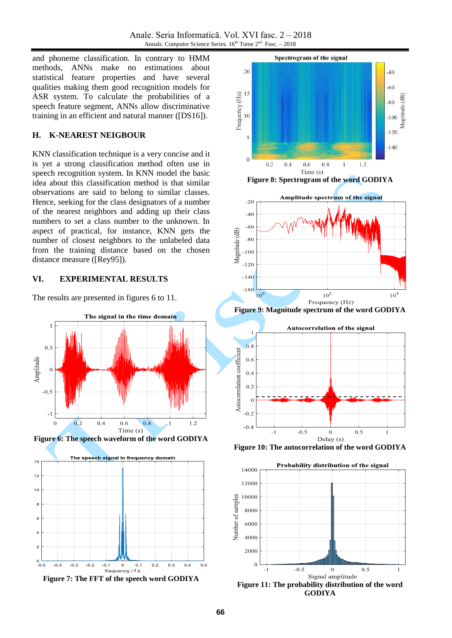and phoneme classification. In contrary to HMM methods, ANNs make no estimations about statistical feature properties and have several qualities making them good recognition models for ASR system. To calculate the probabilities of a speech feature segment, ANNs allow discriminative training in an efficient and natural manner ([DS16]).

#### **H. K-NEAREST NEIGBOUR**

KNN classification technique is a very concise and it is yet a strong classification method often use in speech recognition system. In KNN model the basic idea about this classification method is that similar observations are said to belong to similar classes. Hence, seeking for the class designators of a number of the nearest neighbors and adding up their class numbers to set a class number to the unknown. In aspect of practical, for instance, KNN gets the number of closest neighbors to the unlabeled data from the training distance based on the chosen distance measure ([Rey95]).

### **VI. EXPERIMENTAL RESULTS**

The results are presented in figures 6 to 11.













**Figure 9: Magnitude spectrum of the word GODIYA**



**Figure 10: The autocorrelation of the word GODIYA**

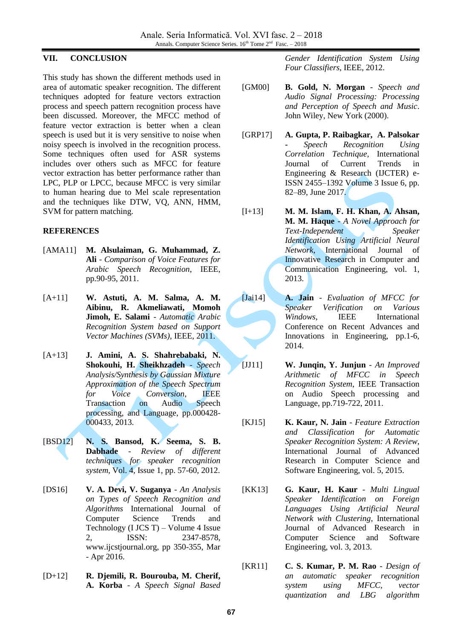# **VII. CONCLUSION**

This study has shown the different methods used in area of automatic speaker recognition. The different techniques adopted for feature vectors extraction process and speech pattern recognition process have been discussed. Moreover, the MFCC method of feature vector extraction is better when a clean speech is used but it is very sensitive to noise when noisy speech is involved in the recognition process. Some techniques often used for ASR systems includes over others such as MFCC for feature vector extraction has better performance rather than LPC, PLP or LPCC, because MFCC is very similar to human hearing due to Mel scale representation and the techniques like DTW, VQ, ANN, HMM, SVM for pattern matching.

# **REFERENCES**

- [AMA11] **M. Alsulaiman, G. Muhammad, Z. Ali** - *Comparison of Voice Features for Arabic Speech Recognition*, IEEE, pp.90-95, 2011.
- [A+11] **W. Astuti, A. M. Salma, A. M. Aibinu, R. Akmeliawati, Momoh Jimoh, E. Salami** - *Automatic Arabic Recognition System based on Support Vector Machines (SVMs)*, IEEE, 2011.
- [A+13] **J. Amini, A. S. Shahrebabaki, N. Shokouhi, H. Sheikhzadeh** - *Speech Analysis/Synthesis by Gaussian Mixture Approximation of the Speech Spectrum for Voice Conversion*, IEEE Transaction on Audio Speech processing, and Language, pp.000428- 000433, 2013*.*
- [BSD12] **N. S. Bansod, K. Seema, S. B. Dabhade** - *Review of different techniques for speaker recognition system*, Vol. 4, Issue 1, pp. 57-60, 2012.
- [DS16] **V. A. Devi, V. Suganya** *An Analysis on Types of Speech Recognition and Algorithms* International Journal of Computer Science Trends and Technology (I JCS T) – Volume 4 Issue 2, ISSN: 2347-8578, www.ijcstjournal.org, pp 350-355, Mar - Apr 2016.
- [D+12] **R. Djemili, R. Bourouba, M. Cherif, A. Korba** - *A Speech Signal Based*

*Gender Identification System Using Four Classifiers*, IEEE, 2012.

- [GM00] **B. Gold, N. Morgan** *Speech and Audio Signal Processing: Processing and Perception of Speech and Music*. John Wiley, New York (2000).
- [GRP17] **A. Gupta, P. Raibagkar, A. Palsokar -** *Speech Recognition Using Correlation Technique,* International Journal of Current Trends in Engineering & Research (IJCTER) e-ISSN 2455–1392 Volume 3 Issue 6, pp. 82–89, June 2017.
- [I+13] **M. M. Islam, F. H. Khan, A. Ahsan, M. M. Haque** - *A Novel Approach for Text-Independent Speaker Identification Using Artificial Neural Network*, International Journal of Innovative Research in Computer and Communication Engineering, vol. 1, 2013.
- [Jai14] **A. Jain** *Evaluation of MFCC for Speaker Verification on Various Windows*, IEEE International Conference on Recent Advances and Innovations in Engineering, pp.1-6, 2014.
- [JJ11] **W. Junqin, Y. Junjun** *An Improved Arithmetic of MFCC in Speech Recognition System*, IEEE Transaction on Audio Speech processing and Language, pp.719-722, 2011.
- [KJ15] **K. Kaur, N. Jain** *Feature Extraction and Classification for Automatic Speaker Recognition System: A Review*, International Journal of Advanced Research in Computer Science and Software Engineering, vol. 5, 2015.
- [KK13] **G. Kaur, H. Kaur** *Multi Lingual Speaker Identification on Foreign Languages Using Artificial Neural Network with Clustering*, International Journal of Advanced Research in Computer Science and Software Engineering, vol. 3, 2013.
- [KR11] **C. S. Kumar, P. M. Rao** *- Design of an automatic speaker recognition system using MFCC, vector quantization and LBG algorithm*